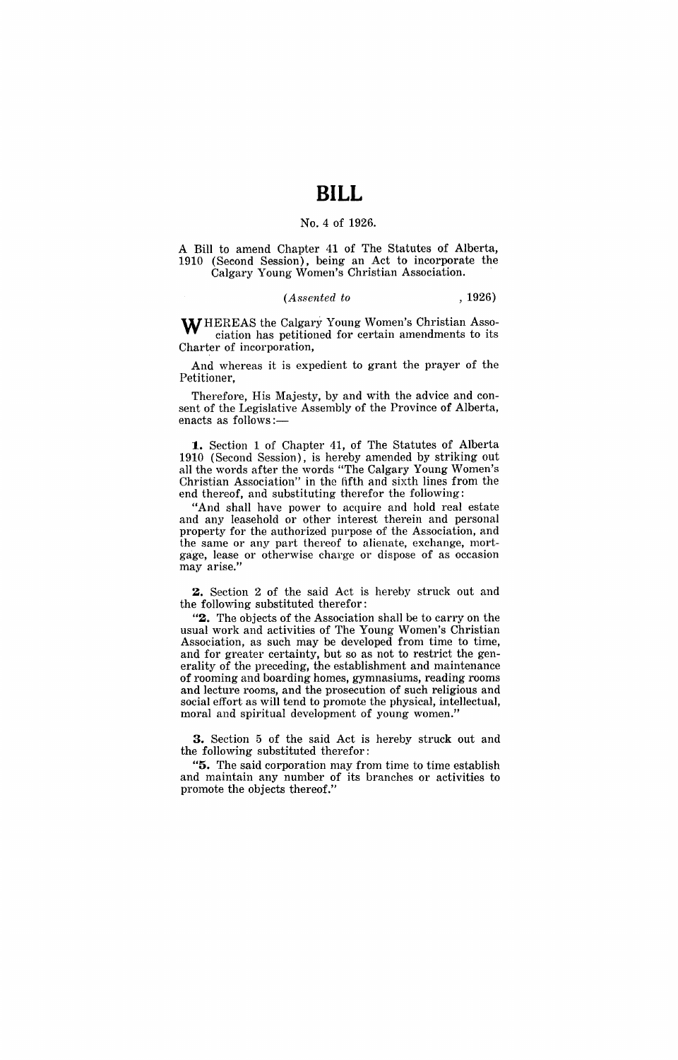## No.4 of 1926.

A Bill to amend Chapter 41 of The Statutes of Alberta, 1910 (Second Session), being an Act to incorporate the Calgary Young Women's Christian Association.

## *(Assented to* , 1926)

WHEREAS the Calgary Young Women's Christian Association has petitioned for certain amendments to its Charter of incorporation,

And whereas it is expedient to grant the prayer of the Petitioner.

Therefore, His Majesty, by and with the advice and consent of the Legislative Assembly of the Province of Alberta, enacts as follows:-

1. Section 1 of Chapter 41, of The Statutes of Alberta 1910 (Second Session), is hereby amended by striking out all the words after the words "The Calgary Young Women's Christian Association" in the fifth and sixth lines from the end thereof, and substituting therefor the following:

"And shall have power to acquire and hold real estate and any leasehold or other interest therein and personal property for the authorized purpose of the Association, and the same or any part thereof to alienate, exchange, mortgage, lease or otherwise charge or dispose of as occasion may arise."

2. Section 2 of the said Act is hereby struck out and the following substituted therefor:

"2. The objects of the Association shall be to carryon the usual work and activities of The Young Women's Christian Association, as such may be developed from time to time, and for greater certainty, but so as not to restrict the generality of the preceding, the establishment and maintenance of rooming and boarding homes, gymnasiums, reading rooms and lecture rooms, and the prosecution of such religious and social effort as will tend to promote the physical, intellectual, moral and spiritual development of young women."

**3.** Section 5 of the said Act is hereby struck out and the following substituted therefor:

"5. The said corporation may from time to time establish and maintain any number of its branches or activities to promote the objects thereof."